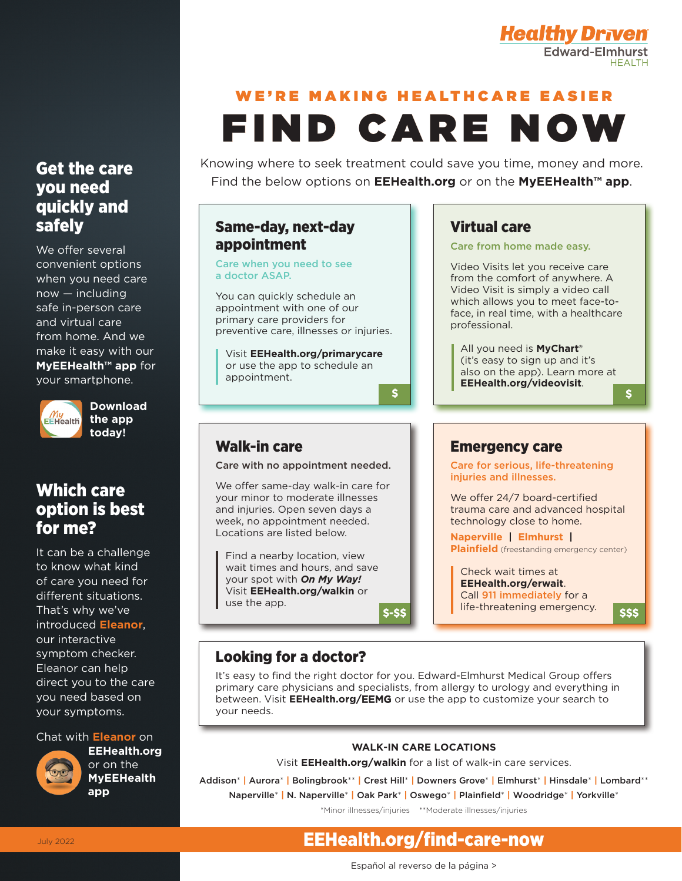

# WE'RE MAKING HEALTHCARE EASIER FIND CARE NOW

Knowing where to seek treatment could save you time, money and more. Find the below options on **EEHealth.org** or on the **MyEEHealth™ app**.

Virtual care

professional.

Care from home made easy.

All you need is **MyChart®** (it's easy to sign up and it's also on the app). Learn more at **EEHealth.org/videovisit**.

Video Visits let you receive care from the comfort of anywhere. A Video Visit is simply a video call which allows you to meet face-toface, in real time, with a healthcare

### Same-day, next-day appointment

Care when you need to see a doctor ASAP.

Walk-in care

use the app.

You can quickly schedule an appointment with one of our primary care providers for preventive care, illnesses or injuries.

Visit **EEHealth.org/primarycare** or use the app to schedule an appointment.

Care with no appointment needed. We offer same-day walk-in care for your minor to moderate illnesses and injuries. Open seven days a week, no appointment needed. Locations are listed below.

Find a nearby location, view wait times and hours, and save your spot with *On My Way!* Visit **EEHealth.org/walkin** or

 $\overline{\mathbf{s}}$ 

### Get the care you need quickly and safely

We offer several convenient options when you need care now — including safe in-person care and virtual care from home. And we make it easy with our **MyEEHealth™ app** for your smartphone.



**Download the app today!**

## Which care option is best for me?

It can be a challenge to know what kind of care you need for different situations. That's why we've introduced **Eleanor**, our interactive symptom checker. Eleanor can help direct you to the care you need based on your symptoms.

#### Chat with **Eleanor** on



**EEHealth.org**  or on the **MyEEHealth app**

### Emergency care

Care for serious, life-threatening injuries and illnesses.

We offer 24/7 board-certified trauma care and advanced hospital technology close to home.

**Naperville | Elmhurst | Plainfield** (freestanding emergency center)

\$-\$\$ | life-threatening emergency. S\$\$ Check wait times at **EEHealth.org/erwait**. Call 911 immediately for a

 $\mathbf{s}$ 

### Looking for a doctor?

It's easy to find the right doctor for you. Edward-Elmhurst Medical Group offers primary care physicians and specialists, from allergy to urology and everything in between. Visit **EEHealth.org/**EEMG or use the app to customize your search to your needs.

#### **WALK-IN CARE LOCATIONS**

Visit **EEHealth.org/walkin** for a list of walk-in care services.

Addison\* **|** Aurora\* **|** Bolingbrook\*\* **|** Crest Hill\* **|** Downers Grove\* **|** Elmhurst\* **|** Hinsdale\* **|** Lombard\*\* Naperville\* **|** N. Naperville\* **|** Oak Park\* **|** Oswego\* **|** Plainfield\* **|** Woodridge\* **|** Yorkville\*

\*Minor illnesses/injuries \*\*Moderate illnesses/injuries

# EEHealth.org/find-care-now

Español al reverso de la página >